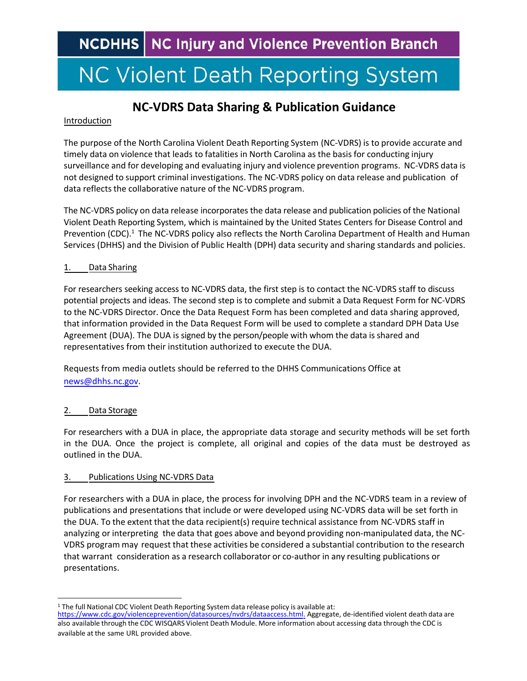**NCDHHS** NC Injury and Violence Prevention Branch

# **NC Violent Death Reporting System**

### **NC-VDRS Data Sharing & Publication Guidance**

#### Introduction

The purpose of the North Carolina Violent Death Reporting System (NC-VDRS) is to provide accurate and timely data on violence that leads to fatalities in North Carolina as the basis for conducting injury surveillance and for developing and evaluating injury and violence prevention programs. NC-VDRS data is not designed to support criminal investigations. The NC-VDRS policy on data release and publication of data reflects the collaborative nature of the NC-VDRS program.

The NC-VDRS policy on data release incorporates the data release and publication policies of the National Violent Death Reporting System, which is maintained by the United States Centers for Disease Control and Prevention (CDC).[1](#page-0-0) The NC-VDRS policy also reflects the North Carolina Department of Health and Human Services (DHHS) and the Division of Public Health (DPH) data security and sharing standards and policies.

#### 1. Data Sharing

For researchers seeking access to NC-VDRS data, the first step is to contact the NC-VDRS staff to discuss potential projects and ideas. The second step is to complete and submit a Data Request Form for NC-VDRS to the NC-VDRS Director. Once the Data Request Form has been completed and data sharing approved, that information provided in the Data Request Form will be used to complete a standard DPH Data Use Agreement (DUA). The DUA is signed by the person/people with whom the data is shared and representatives from their institution authorized to execute the DUA.

Requests from media outlets should be referred to the DHHS Communications Office at [news@dhhs.nc.gov.](mailto:news@dhhs.nc.gov)

#### 2. Data Storage

For researchers with a DUA in place, the appropriate data storage and security methods will be set forth in the DUA. Once the project is complete, all original and copies of the data must be destroyed as outlined in the DUA.

#### 3. Publications Using NC-VDRS Data

For researchers with a DUA in place, the process for involving DPH and the NC-VDRS team in a review of publications and presentations that include or were developed using NC-VDRS data will be set forth in the DUA. To the extent that the data recipient(s) require technical assistance from NC-VDRS staff in analyzing or interpreting the data that goes above and beyond providing non-manipulated data, the NC-VDRS program may request that these activities be considered a substantial contribution to the research that warrant consideration as a research collaborator or co-author in any resulting publications or presentations.

<span id="page-0-0"></span><sup>1</sup> The full National CDC Violent Death Reporting System data release policy is available at: <https://www.cdc.gov/violenceprevention/datasources/nvdrs/dataaccess.html>. Aggregate, de-identified violent death data are also available through the CDC WISQARS Violent Death Module. More information about accessing data through the CDC is available at the same URL provided above.